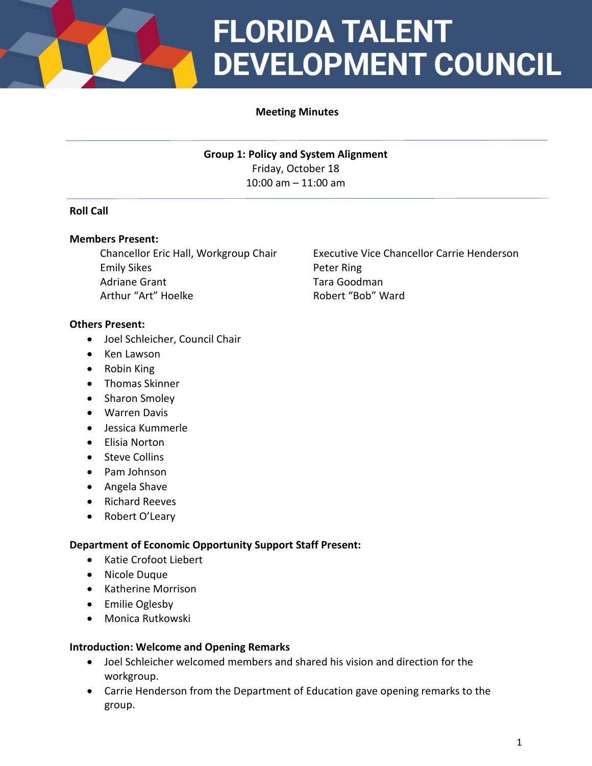

## **FLORIDA TALENT DEVELOPMENT COUNCIL**

#### **Meeting Minutes**

**Group 1: Policy and System Alignment** Friday, October 18 10:00 am – 11:00 am

#### **Roll Call**

#### **Members Present:**

Emily Sikes **Peter Ring** Adriane Grant Tara Goodman Arthur "Art" Hoelke **Robert "Bob" Ward** 

#### **Others Present:**

- Joel Schleicher, Council Chair
- Ken Lawson
- Robin King
- Thomas Skinner
- Sharon Smoley
- Warren Davis
- Jessica Kummerle
- Elisia Norton
- Steve Collins
- Pam Johnson
- Angela Shave
- Richard Reeves
- Robert O'Leary

#### **Department of Economic Opportunity Support Staff Present:**

- Katie Crofoot Liebert
- Nicole Duque
- Katherine Morrison
- Emilie Oglesby
- Monica Rutkowski

#### **Introduction: Welcome and Opening Remarks**

- Joel Schleicher welcomed members and shared his vision and direction for the workgroup.
- Carrie Henderson from the Department of Education gave opening remarks to the group.

Chancellor Eric Hall, Workgroup Chair Executive Vice Chancellor Carrie Henderson